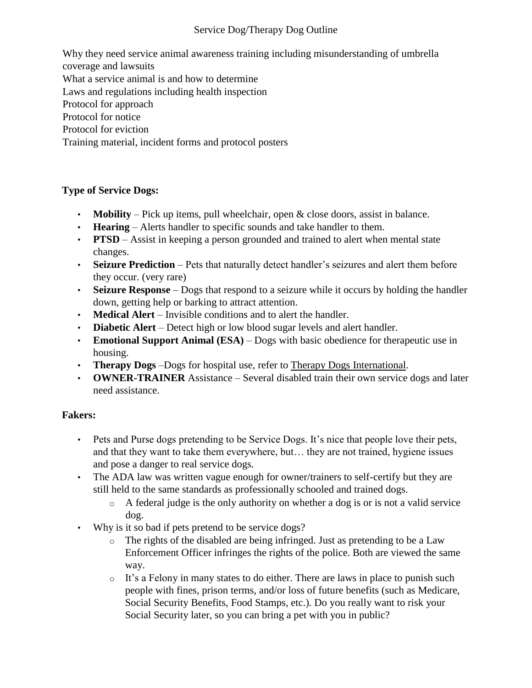### Service Dog/Therapy Dog Outline

Why they need service animal awareness training including misunderstanding of umbrella coverage and lawsuits What a service animal is and how to determine Laws and regulations including health inspection Protocol for approach Protocol for notice Protocol for eviction Training material, incident forms and protocol posters

# **Type of Service Dogs:**

- **Mobility** Pick up items, pull wheelchair, open & close doors, assist in balance.
- **Hearing** Alerts handler to specific sounds and take handler to them.
- **PTSD** Assist in keeping a person grounded and trained to alert when mental state changes.
- **Seizure Prediction** Pets that naturally detect handler's seizures and alert them before they occur. (very rare)
- **Seizure Response** Dogs that respond to a seizure while it occurs by holding the handler down, getting help or barking to attract attention.
- **Medical Alert** Invisible conditions and to alert the handler.
- **Diabetic Alert** Detect high or low blood sugar levels and alert handler.
- **Emotional Support Animal (ESA)** Dogs with basic obedience for therapeutic use in housing.
- **Therapy Dogs** –Dogs for hospital use, refer to Therapy Dogs International.
- **OWNER-TRAINER** Assistance Several disabled train their own service dogs and later need assistance.

#### **Fakers:**

- Pets and Purse dogs pretending to be Service Dogs. It's nice that people love their pets, and that they want to take them everywhere, but… they are not trained, hygiene issues and pose a danger to real service dogs.
- The ADA law was written vague enough for owner/trainers to self-certify but they are still held to the same standards as professionally schooled and trained dogs.
	- o A federal judge is the only authority on whether a dog is or is not a valid service dog.
- Why is it so bad if pets pretend to be service dogs?
	- o The rights of the disabled are being infringed. Just as pretending to be a Law Enforcement Officer infringes the rights of the police. Both are viewed the same way.
	- o It's a Felony in many states to do either. There are laws in place to punish such people with fines, prison terms, and/or loss of future benefits (such as Medicare, Social Security Benefits, Food Stamps, etc.). Do you really want to risk your Social Security later, so you can bring a pet with you in public?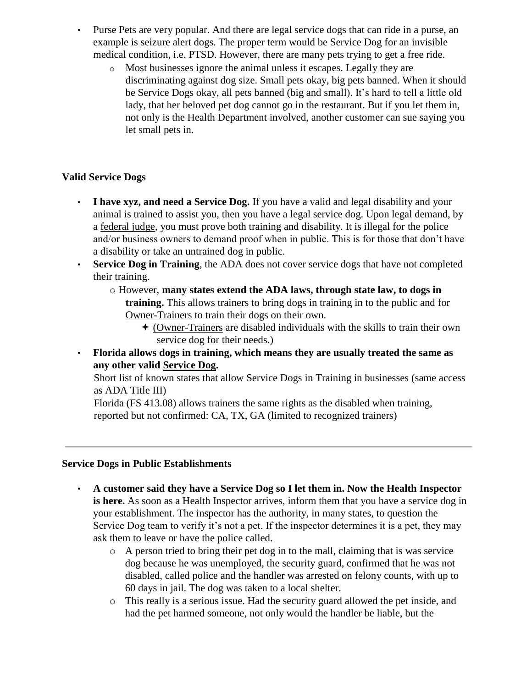- Purse Pets are very popular. And there are legal service dogs that can ride in a purse, an example is seizure alert dogs. The proper term would be Service Dog for an invisible medical condition, i.e. PTSD. However, there are many pets trying to get a free ride.
	- o Most businesses ignore the animal unless it escapes. Legally they are discriminating against dog size. Small pets okay, big pets banned. When it should be Service Dogs okay, all pets banned (big and small). It's hard to tell a little old lady, that her beloved pet dog cannot go in the restaurant. But if you let them in, not only is the Health Department involved, another customer can sue saying you let small pets in.

## **Valid Service Dogs**

- **I have xyz, and need a Service Dog.** If you have a valid and legal disability and your animal is trained to assist you, then you have a legal service dog. Upon legal demand, by a federal judge, you must prove both training and disability. It is illegal for the police and/or business owners to demand proof when in public. This is for those that don't have a disability or take an untrained dog in public.
- **Service Dog in Training**, the ADA does not cover service dogs that have not completed their training.
	- o However, **many states extend the ADA laws, through state law, to dogs in training.** This allows trainers to bring dogs in training in to the public and for Owner-Trainers to train their dogs on their own.
		- $\triangle$  (Owner-Trainers are disabled individuals with the skills to train their own service dog for their needs.)
- **Florida allows dogs in training, which means they are usually treated the same as any other valid Service Dog.**

Short list of known states that allow Service Dogs in Training in businesses (same access as ADA Title III)

Florida (FS 413.08) allows trainers the same rights as the disabled when training, reported but not confirmed: CA, TX, GA (limited to recognized trainers)

#### **Service Dogs in Public Establishments**

- **A customer said they have a Service Dog so I let them in. Now the Health Inspector is here.** As soon as a Health Inspector arrives, inform them that you have a service dog in your establishment. The inspector has the authority, in many states, to question the Service Dog team to verify it's not a pet. If the inspector determines it is a pet, they may ask them to leave or have the police called.
	- o A person tried to bring their pet dog in to the mall, claiming that is was service dog because he was unemployed, the security guard, confirmed that he was not disabled, called police and the handler was arrested on felony counts, with up to 60 days in jail. The dog was taken to a local shelter.
	- o This really is a serious issue. Had the security guard allowed the pet inside, and had the pet harmed someone, not only would the handler be liable, but the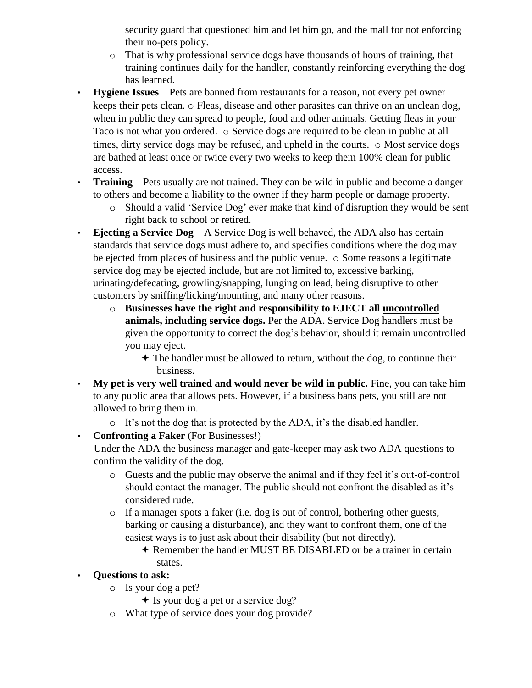security guard that questioned him and let him go, and the mall for not enforcing their no-pets policy.

- o That is why professional service dogs have thousands of hours of training, that training continues daily for the handler, constantly reinforcing everything the dog has learned.
- **Hygiene Issues** Pets are banned from restaurants for a reason, not every pet owner keeps their pets clean. o Fleas, disease and other parasites can thrive on an unclean dog, when in public they can spread to people, food and other animals. Getting fleas in your Taco is not what you ordered.  $\circ$  Service dogs are required to be clean in public at all times, dirty service dogs may be refused, and upheld in the courts. o Most service dogs are bathed at least once or twice every two weeks to keep them 100% clean for public access.
- **Training** Pets usually are not trained. They can be wild in public and become a danger to others and become a liability to the owner if they harm people or damage property.
	- o Should a valid 'Service Dog' ever make that kind of disruption they would be sent right back to school or retired.
- **Ejecting a Service Dog** A Service Dog is well behaved, the ADA also has certain standards that service dogs must adhere to, and specifies conditions where the dog may be ejected from places of business and the public venue. o Some reasons a legitimate service dog may be ejected include, but are not limited to, excessive barking, urinating/defecating, growling/snapping, lunging on lead, being disruptive to other customers by sniffing/licking/mounting, and many other reasons.
	- o **Businesses have the right and responsibility to EJECT all uncontrolled animals, including service dogs.** Per the ADA. Service Dog handlers must be given the opportunity to correct the dog's behavior, should it remain uncontrolled you may eject.
		- $\triangle$  The handler must be allowed to return, without the dog, to continue their business.
- **My pet is very well trained and would never be wild in public.** Fine, you can take him to any public area that allows pets. However, if a business bans pets, you still are not allowed to bring them in.
	- o It's not the dog that is protected by the ADA, it's the disabled handler.
- **Confronting a Faker** (For Businesses!)

Under the ADA the business manager and gate-keeper may ask two ADA questions to confirm the validity of the dog.

- o Guests and the public may observe the animal and if they feel it's out-of-control should contact the manager. The public should not confront the disabled as it's considered rude.
- o If a manager spots a faker (i.e. dog is out of control, bothering other guests, barking or causing a disturbance), and they want to confront them, one of the easiest ways is to just ask about their disability (but not directly).
	- Remember the handler MUST BE DISABLED or be a trainer in certain states.
- **Questions to ask:**
	- o Is your dog a pet?
		- $\triangle$  Is your dog a pet or a service dog?
	- o What type of service does your dog provide?